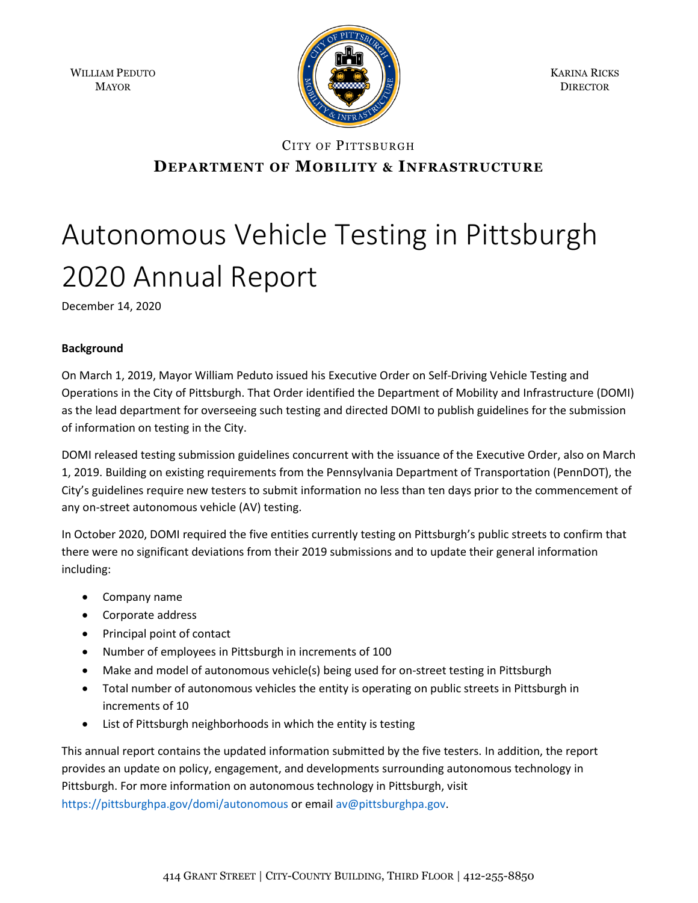WILLIAM PEDUTO MAYOR



KARINA RICKS **DIRECTOR** 

# CITY OF PITTSBURGH **DEPARTMENT OF MOBILITY & INFRASTRUCTURE**

# Autonomous Vehicle Testing in Pittsburgh 2020 Annual Report

December 14, 2020

# **Background**

On March 1, 2019, Mayor William Peduto issued his Executive Order on Self-Driving Vehicle Testing and Operations in the City of Pittsburgh. That Order identified the Department of Mobility and Infrastructure (DOMI) as the lead department for overseeing such testing and directed DOMI to publish guidelines for the submission of information on testing in the City.

DOMI released testing submission guidelines concurrent with the issuance of the Executive Order, also on March 1, 2019. Building on existing requirements from the Pennsylvania Department of Transportation (PennDOT), the City's guidelines require new testers to submit information no less than ten days prior to the commencement of any on-street autonomous vehicle (AV) testing.

In October 2020, DOMI required the five entities currently testing on Pittsburgh's public streets to confirm that there were no significant deviations from their 2019 submissions and to update their general information including:

- Company name
- Corporate address
- Principal point of contact
- Number of employees in Pittsburgh in increments of 100
- Make and model of autonomous vehicle(s) being used for on-street testing in Pittsburgh
- Total number of autonomous vehicles the entity is operating on public streets in Pittsburgh in increments of 10
- List of Pittsburgh neighborhoods in which the entity is testing

This annual report contains the updated information submitted by the five testers. In addition, the report provides an update on policy, engagement, and developments surrounding autonomous technology in Pittsburgh. For more information on autonomous technology in Pittsburgh, visit <https://pittsburghpa.gov/domi/autonomous> or emai[l av@pittsburghpa.gov.](mailto:av@pittsburghpa.gov)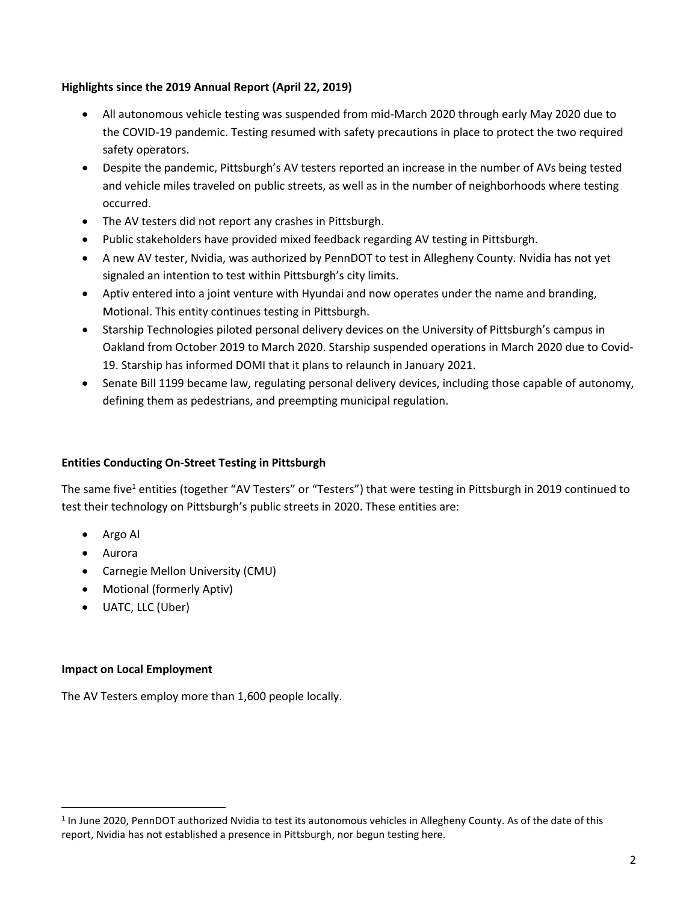# **Highlights since the 2019 Annual Report (April 22, 2019)**

- All autonomous vehicle testing was suspended from mid-March 2020 through early May 2020 due to the COVID-19 pandemic. Testing resumed with safety precautions in place to protect the two required safety operators.
- Despite the pandemic, Pittsburgh's AV testers reported an increase in the number of AVs being tested and vehicle miles traveled on public streets, as well as in the number of neighborhoods where testing occurred.
- The AV testers did not report any crashes in Pittsburgh.
- Public stakeholders have provided mixed feedback regarding AV testing in Pittsburgh.
- A new AV tester, Nvidia, was authorized by PennDOT to test in Allegheny County. Nvidia has not yet signaled an intention to test within Pittsburgh's city limits.
- Aptiv entered into a joint venture with Hyundai and now operates under the name and branding, Motional. This entity continues testing in Pittsburgh.
- Starship Technologies piloted personal delivery devices on the University of Pittsburgh's campus in Oakland from October 2019 to March 2020. Starship suspended operations in March 2020 due to Covid-19. Starship has informed DOMI that it plans to relaunch in January 2021.
- Senate Bill 1199 became law, regulating personal delivery devices, including those capable of autonomy, defining them as pedestrians, and preempting municipal regulation.

# **Entities Conducting On-Street Testing in Pittsburgh**

The same five<sup>1</sup> entities (together "AV Testers" or "Testers") that were testing in Pittsburgh in 2019 continued to test their technology on Pittsburgh's public streets in 2020. These entities are:

- Argo AI
- Aurora

 $\overline{\phantom{a}}$ 

- Carnegie Mellon University (CMU)
- Motional (formerly Aptiv)
- UATC, LLC (Uber)

#### **Impact on Local Employment**

The AV Testers employ more than 1,600 people locally.

<sup>&</sup>lt;sup>1</sup> In June 2020, PennDOT authorized Nvidia to test its autonomous vehicles in Allegheny County. As of the date of this report, Nvidia has not established a presence in Pittsburgh, nor begun testing here.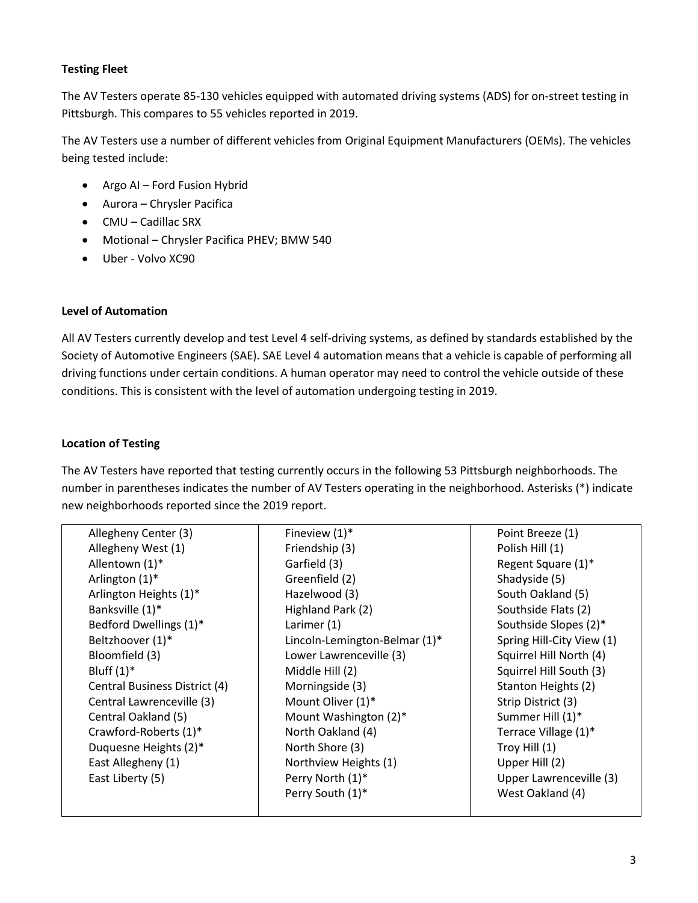# **Testing Fleet**

The AV Testers operate 85-130 vehicles equipped with automated driving systems (ADS) for on-street testing in Pittsburgh. This compares to 55 vehicles reported in 2019.

The AV Testers use a number of different vehicles from Original Equipment Manufacturers (OEMs). The vehicles being tested include:

- Argo AI Ford Fusion Hybrid
- Aurora Chrysler Pacifica
- CMU Cadillac SRX
- Motional Chrysler Pacifica PHEV; BMW 540
- Uber Volvo XC90

# **Level of Automation**

All AV Testers currently develop and test Level 4 self-driving systems, as defined by standards established by the Society of Automotive Engineers (SAE). SAE Level 4 automation means that a vehicle is capable of performing all driving functions under certain conditions. A human operator may need to control the vehicle outside of these conditions. This is consistent with the level of automation undergoing testing in 2019.

#### **Location of Testing**

The AV Testers have reported that testing currently occurs in the following 53 Pittsburgh neighborhoods. The number in parentheses indicates the number of AV Testers operating in the neighborhood. Asterisks (\*) indicate new neighborhoods reported since the 2019 report.

| Allegheny Center (3)          | Fineview $(1)^*$              | Point Breeze (1)          |
|-------------------------------|-------------------------------|---------------------------|
| Allegheny West (1)            | Friendship (3)                | Polish Hill (1)           |
| Allentown (1)*                | Garfield (3)                  | Regent Square (1)*        |
| Arlington (1)*                | Greenfield (2)                | Shadyside (5)             |
| Arlington Heights (1)*        | Hazelwood (3)                 | South Oakland (5)         |
| Banksville (1)*               | Highland Park (2)             | Southside Flats (2)       |
| Bedford Dwellings (1)*        | Larimer (1)                   | Southside Slopes (2)*     |
| Beltzhoover (1)*              | Lincoln-Lemington-Belmar (1)* | Spring Hill-City View (1) |
| Bloomfield (3)                | Lower Lawrenceville (3)       | Squirrel Hill North (4)   |
| Bluff $(1)^*$                 | Middle Hill (2)               | Squirrel Hill South (3)   |
| Central Business District (4) | Morningside (3)               | Stanton Heights (2)       |
| Central Lawrenceville (3)     | Mount Oliver (1)*             | Strip District (3)        |
| Central Oakland (5)           | Mount Washington (2)*         | Summer Hill (1)*          |
| Crawford-Roberts (1)*         | North Oakland (4)             | Terrace Village (1)*      |
| Duquesne Heights (2)*         | North Shore (3)               | Troy Hill (1)             |
| East Allegheny (1)            | Northview Heights (1)         | Upper Hill (2)            |
| East Liberty (5)              | Perry North (1)*              | Upper Lawrenceville (3)   |
|                               | Perry South (1)*              | West Oakland (4)          |
|                               |                               |                           |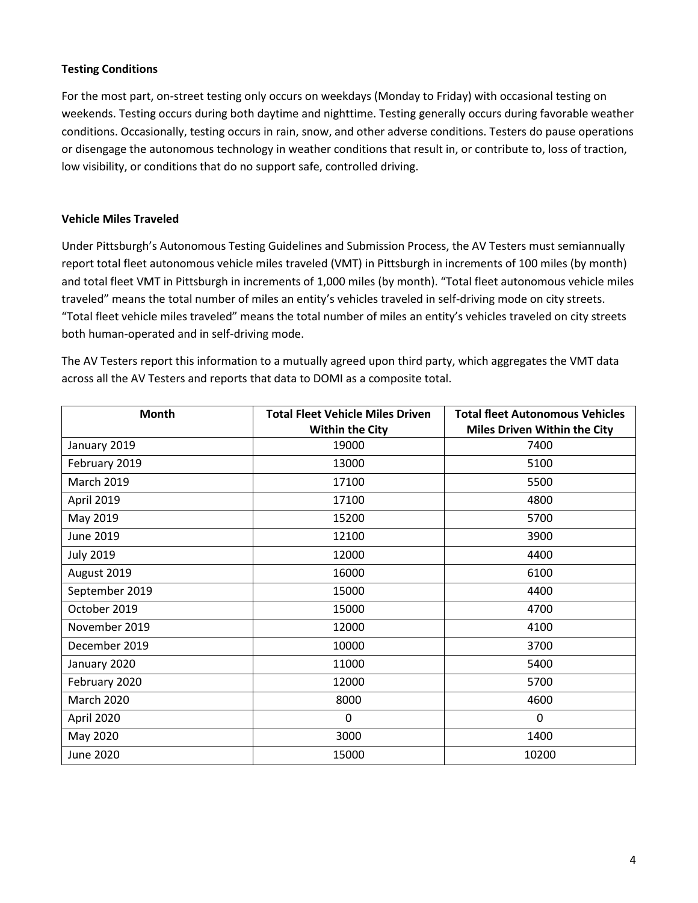# **Testing Conditions**

For the most part, on-street testing only occurs on weekdays (Monday to Friday) with occasional testing on weekends. Testing occurs during both daytime and nighttime. Testing generally occurs during favorable weather conditions. Occasionally, testing occurs in rain, snow, and other adverse conditions. Testers do pause operations or disengage the autonomous technology in weather conditions that result in, or contribute to, loss of traction, low visibility, or conditions that do no support safe, controlled driving.

#### **Vehicle Miles Traveled**

Under Pittsburgh's Autonomous Testing Guidelines and Submission Process, the AV Testers must semiannually report total fleet autonomous vehicle miles traveled (VMT) in Pittsburgh in increments of 100 miles (by month) and total fleet VMT in Pittsburgh in increments of 1,000 miles (by month). "Total fleet autonomous vehicle miles traveled" means the total number of miles an entity's vehicles traveled in self-driving mode on city streets. "Total fleet vehicle miles traveled" means the total number of miles an entity's vehicles traveled on city streets both human-operated and in self-driving mode.

The AV Testers report this information to a mutually agreed upon third party, which aggregates the VMT data across all the AV Testers and reports that data to DOMI as a composite total.

| Month             | <b>Total Fleet Vehicle Miles Driven</b> | <b>Total fleet Autonomous Vehicles</b> |
|-------------------|-----------------------------------------|----------------------------------------|
|                   | <b>Within the City</b>                  | <b>Miles Driven Within the City</b>    |
| January 2019      | 19000                                   | 7400                                   |
| February 2019     | 13000                                   | 5100                                   |
| <b>March 2019</b> | 17100                                   | 5500                                   |
| April 2019        | 17100                                   | 4800                                   |
| May 2019          | 15200                                   | 5700                                   |
| June 2019         | 12100                                   | 3900                                   |
| <b>July 2019</b>  | 12000                                   | 4400                                   |
| August 2019       | 16000                                   | 6100                                   |
| September 2019    | 15000                                   | 4400                                   |
| October 2019      | 15000                                   | 4700                                   |
| November 2019     | 12000                                   | 4100                                   |
| December 2019     | 10000                                   | 3700                                   |
| January 2020      | 11000                                   | 5400                                   |
| February 2020     | 12000                                   | 5700                                   |
| <b>March 2020</b> | 8000                                    | 4600                                   |
| April 2020        | $\Omega$                                | 0                                      |
| May 2020          | 3000                                    | 1400                                   |
| <b>June 2020</b>  | 15000                                   | 10200                                  |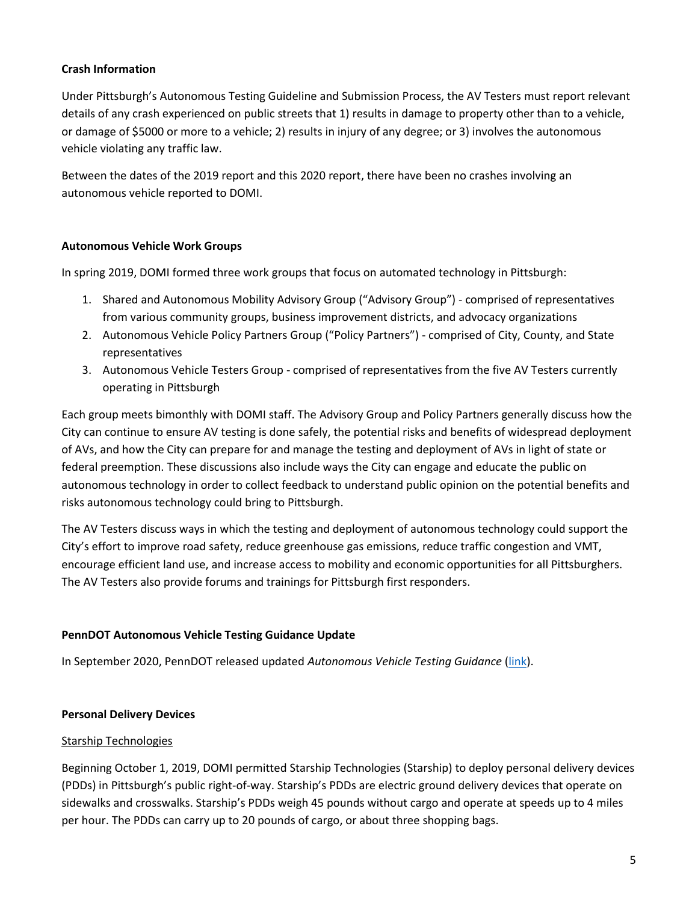# **Crash Information**

Under Pittsburgh's Autonomous Testing Guideline and Submission Process, the AV Testers must report relevant details of any crash experienced on public streets that 1) results in damage to property other than to a vehicle, or damage of \$5000 or more to a vehicle; 2) results in injury of any degree; or 3) involves the autonomous vehicle violating any traffic law.

Between the dates of the 2019 report and this 2020 report, there have been no crashes involving an autonomous vehicle reported to DOMI.

# **Autonomous Vehicle Work Groups**

In spring 2019, DOMI formed three work groups that focus on automated technology in Pittsburgh:

- 1. Shared and Autonomous Mobility Advisory Group ("Advisory Group") comprised of representatives from various community groups, business improvement districts, and advocacy organizations
- 2. Autonomous Vehicle Policy Partners Group ("Policy Partners") comprised of City, County, and State representatives
- 3. Autonomous Vehicle Testers Group comprised of representatives from the five AV Testers currently operating in Pittsburgh

Each group meets bimonthly with DOMI staff. The Advisory Group and Policy Partners generally discuss how the City can continue to ensure AV testing is done safely, the potential risks and benefits of widespread deployment of AVs, and how the City can prepare for and manage the testing and deployment of AVs in light of state or federal preemption. These discussions also include ways the City can engage and educate the public on autonomous technology in order to collect feedback to understand public opinion on the potential benefits and risks autonomous technology could bring to Pittsburgh.

The AV Testers discuss ways in which the testing and deployment of autonomous technology could support the City's effort to improve road safety, reduce greenhouse gas emissions, reduce traffic congestion and VMT, encourage efficient land use, and increase access to mobility and economic opportunities for all Pittsburghers. The AV Testers also provide forums and trainings for Pittsburgh first responders.

# **PennDOT Autonomous Vehicle Testing Guidance Update**

In September 2020, PennDOT released updated *Autonomous Vehicle Testing Guidance* [\(link\)](https://www.penndot.gov/ProjectAndPrograms/ResearchandTesting/Autonomous%20_Vehicles/avtesting/Pages/avtesting.aspx).

#### **Personal Delivery Devices**

#### Starship Technologies

Beginning October 1, 2019, DOMI permitted Starship Technologies (Starship) to deploy personal delivery devices (PDDs) in Pittsburgh's public right-of-way. Starship's PDDs are electric ground delivery devices that operate on sidewalks and crosswalks. Starship's PDDs weigh 45 pounds without cargo and operate at speeds up to 4 miles per hour. The PDDs can carry up to 20 pounds of cargo, or about three shopping bags.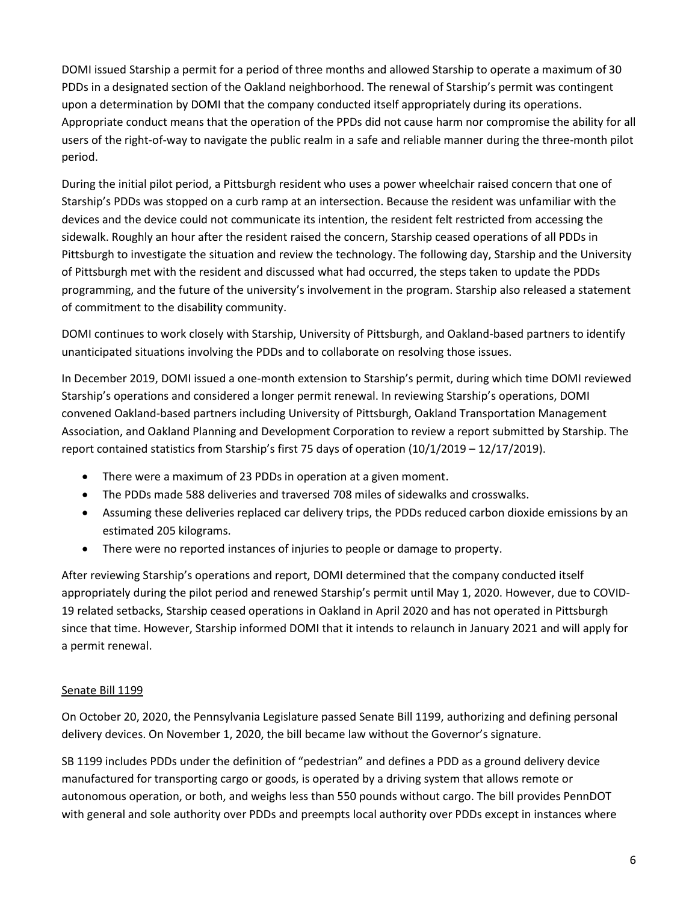DOMI issued Starship a permit for a period of three months and allowed Starship to operate a maximum of 30 PDDs in a designated section of the Oakland neighborhood. The renewal of Starship's permit was contingent upon a determination by DOMI that the company conducted itself appropriately during its operations. Appropriate conduct means that the operation of the PPDs did not cause harm nor compromise the ability for all users of the right-of-way to navigate the public realm in a safe and reliable manner during the three-month pilot period.

During the initial pilot period, a Pittsburgh resident who uses a power wheelchair raised concern that one of Starship's PDDs was stopped on a curb ramp at an intersection. Because the resident was unfamiliar with the devices and the device could not communicate its intention, the resident felt restricted from accessing the sidewalk. Roughly an hour after the resident raised the concern, Starship ceased operations of all PDDs in Pittsburgh to investigate the situation and review the technology. The following day, Starship and the University of Pittsburgh met with the resident and discussed what had occurred, the steps taken to update the PDDs programming, and the future of the university's involvement in the program. Starship also released a statement of commitment to the disability community.

DOMI continues to work closely with Starship, University of Pittsburgh, and Oakland-based partners to identify unanticipated situations involving the PDDs and to collaborate on resolving those issues.

In December 2019, DOMI issued a one-month extension to Starship's permit, during which time DOMI reviewed Starship's operations and considered a longer permit renewal. In reviewing Starship's operations, DOMI convened Oakland-based partners including University of Pittsburgh, Oakland Transportation Management Association, and Oakland Planning and Development Corporation to review a report submitted by Starship. The report contained statistics from Starship's first 75 days of operation (10/1/2019 – 12/17/2019).

- There were a maximum of 23 PDDs in operation at a given moment.
- The PDDs made 588 deliveries and traversed 708 miles of sidewalks and crosswalks.
- Assuming these deliveries replaced car delivery trips, the PDDs reduced carbon dioxide emissions by an estimated 205 kilograms.
- There were no reported instances of injuries to people or damage to property.

After reviewing Starship's operations and report, DOMI determined that the company conducted itself appropriately during the pilot period and renewed Starship's permit until May 1, 2020. However, due to COVID-19 related setbacks, Starship ceased operations in Oakland in April 2020 and has not operated in Pittsburgh since that time. However, Starship informed DOMI that it intends to relaunch in January 2021 and will apply for a permit renewal.

#### Senate Bill 1199

On October 20, 2020, the Pennsylvania Legislature passed Senate Bill 1199, authorizing and defining personal delivery devices. On November 1, 2020, the bill became law without the Governor's signature.

SB 1199 includes PDDs under the definition of "pedestrian" and defines a PDD as a ground delivery device manufactured for transporting cargo or goods, is operated by a driving system that allows remote or autonomous operation, or both, and weighs less than 550 pounds without cargo. The bill provides PennDOT with general and sole authority over PDDs and preempts local authority over PDDs except in instances where